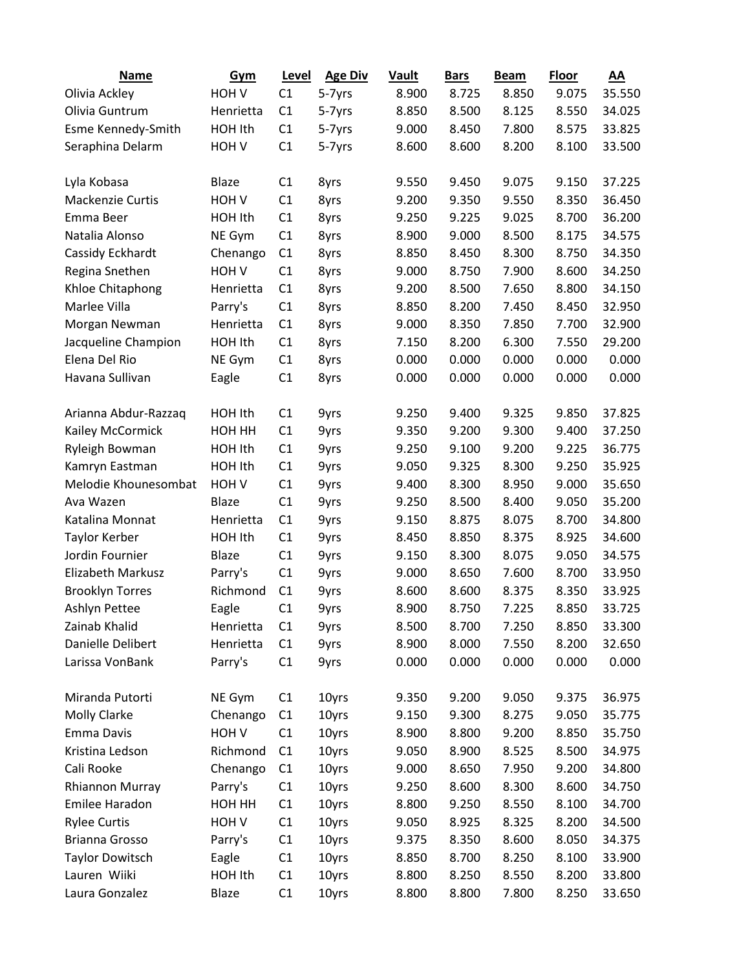| <b>Name</b>              | Gym              | Level | <b>Age Div</b> | <b>Vault</b> | <b>Bars</b> | <b>Beam</b> | Floor | AA     |
|--------------------------|------------------|-------|----------------|--------------|-------------|-------------|-------|--------|
| Olivia Ackley            | HOH <sub>V</sub> | C1    | 5-7yrs         | 8.900        | 8.725       | 8.850       | 9.075 | 35.550 |
| Olivia Guntrum           | Henrietta        | C1    | 5-7yrs         | 8.850        | 8.500       | 8.125       | 8.550 | 34.025 |
| Esme Kennedy-Smith       | HOH Ith          | C1    | 5-7yrs         | 9.000        | 8.450       | 7.800       | 8.575 | 33.825 |
| Seraphina Delarm         | HOH <sub>V</sub> | C1    | 5-7yrs         | 8.600        | 8.600       | 8.200       | 8.100 | 33.500 |
|                          |                  |       |                |              |             |             |       |        |
| Lyla Kobasa              | <b>Blaze</b>     | C1    | 8yrs           | 9.550        | 9.450       | 9.075       | 9.150 | 37.225 |
| <b>Mackenzie Curtis</b>  | HOH V            | C1    | 8yrs           | 9.200        | 9.350       | 9.550       | 8.350 | 36.450 |
| Emma Beer                | HOH Ith          | C1    | 8yrs           | 9.250        | 9.225       | 9.025       | 8.700 | 36.200 |
| Natalia Alonso           | NE Gym           | C1    | 8yrs           | 8.900        | 9.000       | 8.500       | 8.175 | 34.575 |
| Cassidy Eckhardt         | Chenango         | C1    | 8yrs           | 8.850        | 8.450       | 8.300       | 8.750 | 34.350 |
| Regina Snethen           | HOH <sub>V</sub> | C1    | 8yrs           | 9.000        | 8.750       | 7.900       | 8.600 | 34.250 |
| Khloe Chitaphong         | Henrietta        | C1    | 8yrs           | 9.200        | 8.500       | 7.650       | 8.800 | 34.150 |
| Marlee Villa             | Parry's          | C1    | 8yrs           | 8.850        | 8.200       | 7.450       | 8.450 | 32.950 |
| Morgan Newman            | Henrietta        | C1    | 8yrs           | 9.000        | 8.350       | 7.850       | 7.700 | 32.900 |
| Jacqueline Champion      | HOH Ith          | C1    | 8yrs           | 7.150        | 8.200       | 6.300       | 7.550 | 29.200 |
| Elena Del Rio            | NE Gym           | C1    | 8yrs           | 0.000        | 0.000       | 0.000       | 0.000 | 0.000  |
| Havana Sullivan          | Eagle            | C1    | 8yrs           | 0.000        | 0.000       | 0.000       | 0.000 | 0.000  |
|                          |                  |       |                |              |             |             |       |        |
| Arianna Abdur-Razzaq     | HOH Ith          | C1    | 9yrs           | 9.250        | 9.400       | 9.325       | 9.850 | 37.825 |
| Kailey McCormick         | HOH HH           | C1    | 9yrs           | 9.350        | 9.200       | 9.300       | 9.400 | 37.250 |
| Ryleigh Bowman           | HOH Ith          | C1    | 9yrs           | 9.250        | 9.100       | 9.200       | 9.225 | 36.775 |
| Kamryn Eastman           | HOH Ith          | C1    | 9yrs           | 9.050        | 9.325       | 8.300       | 9.250 | 35.925 |
| Melodie Khounesombat     | HOH <sub>V</sub> | C1    | 9yrs           | 9.400        | 8.300       | 8.950       | 9.000 | 35.650 |
| Ava Wazen                | Blaze            | C1    | 9yrs           | 9.250        | 8.500       | 8.400       | 9.050 | 35.200 |
| Katalina Monnat          | Henrietta        | C1    | 9yrs           | 9.150        | 8.875       | 8.075       | 8.700 | 34.800 |
| <b>Taylor Kerber</b>     | HOH Ith          | C1    | 9yrs           | 8.450        | 8.850       | 8.375       | 8.925 | 34.600 |
| Jordin Fournier          | <b>Blaze</b>     | C1    | 9yrs           | 9.150        | 8.300       | 8.075       | 9.050 | 34.575 |
| <b>Elizabeth Markusz</b> | Parry's          | C1    | 9yrs           | 9.000        | 8.650       | 7.600       | 8.700 | 33.950 |
| <b>Brooklyn Torres</b>   | Richmond         | C1    | 9yrs           | 8.600        | 8.600       | 8.375       | 8.350 | 33.925 |
| <b>Ashlyn Pettee</b>     | Eagle            | C1    | 9yrs           | 8.900        | 8.750       | 7.225       | 8.850 | 33.725 |
| Zainab Khalid            | Henrietta        | C1    | 9yrs           | 8.500        | 8.700       | 7.250       | 8.850 | 33.300 |
| Danielle Delibert        | Henrietta        | C1    | 9yrs           | 8.900        | 8.000       | 7.550       | 8.200 | 32.650 |
| Larissa VonBank          | Parry's          | C1    | 9yrs           | 0.000        | 0.000       | 0.000       | 0.000 | 0.000  |
|                          |                  |       |                |              |             |             |       |        |
| Miranda Putorti          | NE Gym           | C1    | 10yrs          | 9.350        | 9.200       | 9.050       | 9.375 | 36.975 |
| Molly Clarke             | Chenango         | C1    | 10yrs          | 9.150        | 9.300       | 8.275       | 9.050 | 35.775 |
| Emma Davis               | HOH V            | C1    | 10yrs          | 8.900        | 8.800       | 9.200       | 8.850 | 35.750 |
| Kristina Ledson          | Richmond         | C1    | 10yrs          | 9.050        | 8.900       | 8.525       | 8.500 | 34.975 |
| Cali Rooke               | Chenango         | C1    | 10yrs          | 9.000        | 8.650       | 7.950       | 9.200 | 34.800 |
| <b>Rhiannon Murray</b>   | Parry's          | C1    | 10yrs          | 9.250        | 8.600       | 8.300       | 8.600 | 34.750 |
| Emilee Haradon           | HOH HH           | C1    | 10yrs          | 8.800        | 9.250       | 8.550       | 8.100 | 34.700 |
| <b>Rylee Curtis</b>      | HOH <sub>V</sub> | C1    | 10yrs          | 9.050        | 8.925       | 8.325       | 8.200 | 34.500 |
| Brianna Grosso           | Parry's          | C1    | 10yrs          | 9.375        | 8.350       | 8.600       | 8.050 | 34.375 |
| <b>Taylor Dowitsch</b>   | Eagle            | C1    | 10yrs          | 8.850        | 8.700       | 8.250       | 8.100 | 33.900 |
| Lauren Wiiki             | HOH Ith          | C1    | 10yrs          | 8.800        | 8.250       | 8.550       | 8.200 | 33.800 |
| Laura Gonzalez           | Blaze            | C1    | 10yrs          | 8.800        | 8.800       | 7.800       | 8.250 | 33.650 |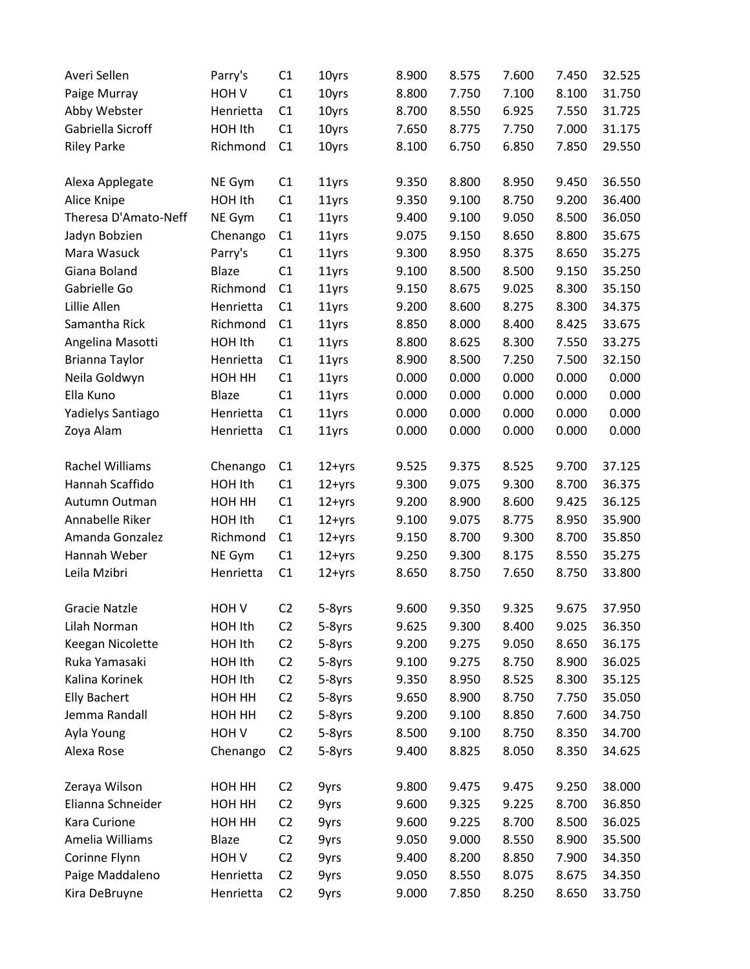| Averi Sellen         | Parry's          | C1             | 10yrs      | 8.900 | 8.575 | 7.600 | 7.450 | 32.525 |
|----------------------|------------------|----------------|------------|-------|-------|-------|-------|--------|
| Paige Murray         | HOH V            | C1             | 10yrs      | 8.800 | 7.750 | 7.100 | 8.100 | 31.750 |
| Abby Webster         | Henrietta        | C1             | 10yrs      | 8.700 | 8.550 | 6.925 | 7.550 | 31.725 |
| Gabriella Sicroff    | HOH Ith          | C1             | 10yrs      | 7.650 | 8.775 | 7.750 | 7.000 | 31.175 |
| <b>Riley Parke</b>   | Richmond         | C1             | 10yrs      | 8.100 | 6.750 | 6.850 | 7.850 | 29.550 |
|                      |                  |                |            |       |       |       |       |        |
| Alexa Applegate      | NE Gym           | C1             | 11yrs      | 9.350 | 8.800 | 8.950 | 9.450 | 36.550 |
| Alice Knipe          | HOH Ith          | C1             | 11yrs      | 9.350 | 9.100 | 8.750 | 9.200 | 36.400 |
| Theresa D'Amato-Neff | NE Gym           | C1             | 11yrs      | 9.400 | 9.100 | 9.050 | 8.500 | 36.050 |
| Jadyn Bobzien        | Chenango         | C1             | 11yrs      | 9.075 | 9.150 | 8.650 | 8.800 | 35.675 |
| Mara Wasuck          | Parry's          | C1             | 11yrs      | 9.300 | 8.950 | 8.375 | 8.650 | 35.275 |
| Giana Boland         | Blaze            | C1             | 11yrs      | 9.100 | 8.500 | 8.500 | 9.150 | 35.250 |
| Gabrielle Go         | Richmond         | C1             | 11yrs      | 9.150 | 8.675 | 9.025 | 8.300 | 35.150 |
| Lillie Allen         | Henrietta        | C1             | 11yrs      | 9.200 | 8.600 | 8.275 | 8.300 | 34.375 |
| Samantha Rick        | Richmond         | C1             | 11yrs      | 8.850 | 8.000 | 8.400 | 8.425 | 33.675 |
| Angelina Masotti     | HOH Ith          | C1             | 11yrs      | 8.800 | 8.625 | 8.300 | 7.550 | 33.275 |
| Brianna Taylor       | Henrietta        | C1             | 11yrs      | 8.900 | 8.500 | 7.250 | 7.500 | 32.150 |
| Neila Goldwyn        | HOH HH           | C1             | 11yrs      | 0.000 | 0.000 | 0.000 | 0.000 | 0.000  |
| Ella Kuno            | Blaze            | C1             | 11yrs      | 0.000 | 0.000 | 0.000 | 0.000 | 0.000  |
| Yadielys Santiago    | Henrietta        | C1             | 11yrs      | 0.000 | 0.000 | 0.000 | 0.000 | 0.000  |
| Zoya Alam            | Henrietta        | C1             | 11yrs      | 0.000 | 0.000 | 0.000 | 0.000 | 0.000  |
|                      |                  |                |            |       |       |       |       |        |
| Rachel Williams      | Chenango         | C1             | $12 + yrs$ | 9.525 | 9.375 | 8.525 | 9.700 | 37.125 |
| Hannah Scaffido      | HOH Ith          | C1             | $12 + yrs$ | 9.300 | 9.075 | 9.300 | 8.700 | 36.375 |
| Autumn Outman        | HOH HH           | C1             | $12+yrs$   | 9.200 | 8.900 | 8.600 | 9.425 | 36.125 |
| Annabelle Riker      | HOH Ith          | C1             | $12 + yrs$ | 9.100 | 9.075 | 8.775 | 8.950 | 35.900 |
| Amanda Gonzalez      | Richmond         | C1             | $12 + yrs$ | 9.150 | 8.700 | 9.300 | 8.700 | 35.850 |
| Hannah Weber         | NE Gym           | C1             | $12 + yrs$ | 9.250 | 9.300 | 8.175 | 8.550 | 35.275 |
| Leila Mzibri         | Henrietta        | C1             | $12 + yrs$ | 8.650 | 8.750 | 7.650 | 8.750 | 33.800 |
|                      |                  |                |            |       |       |       |       |        |
| <b>Gracie Natzle</b> | HOH <sub>V</sub> | C <sub>2</sub> | 5-8yrs     | 9.600 | 9.350 | 9.325 | 9.675 | 37.950 |
| Lilah Norman         | HOH Ith          | C <sub>2</sub> | 5-8yrs     | 9.625 | 9.300 | 8.400 | 9.025 | 36.350 |
| Keegan Nicolette     | HOH Ith          | C <sub>2</sub> | 5-8yrs     | 9.200 | 9.275 | 9.050 | 8.650 | 36.175 |
| Ruka Yamasaki        | HOH Ith          | C <sub>2</sub> | 5-8yrs     | 9.100 | 9.275 | 8.750 | 8.900 | 36.025 |
| Kalina Korinek       | HOH Ith          | C <sub>2</sub> | 5-8yrs     | 9.350 | 8.950 | 8.525 | 8.300 | 35.125 |
| <b>Elly Bachert</b>  | HOH HH           | C <sub>2</sub> | 5-8yrs     | 9.650 | 8.900 | 8.750 | 7.750 | 35.050 |
| Jemma Randall        | HOH HH           | C <sub>2</sub> | 5-8yrs     | 9.200 | 9.100 | 8.850 | 7.600 | 34.750 |
| Ayla Young           | HOH <sub>V</sub> | C <sub>2</sub> | 5-8yrs     | 8.500 | 9.100 | 8.750 | 8.350 | 34.700 |
| Alexa Rose           | Chenango         | C <sub>2</sub> | 5-8yrs     | 9.400 | 8.825 | 8.050 | 8.350 | 34.625 |
|                      |                  |                |            |       |       |       |       |        |
| Zeraya Wilson        | HOH HH           | C <sub>2</sub> | 9yrs       | 9.800 | 9.475 | 9.475 | 9.250 | 38.000 |
| Elianna Schneider    | HOH HH           | C <sub>2</sub> | 9yrs       | 9.600 | 9.325 | 9.225 | 8.700 | 36.850 |
| Kara Curione         | HOH HH           | C <sub>2</sub> | 9yrs       | 9.600 | 9.225 | 8.700 | 8.500 | 36.025 |
| Amelia Williams      | Blaze            | C <sub>2</sub> | 9yrs       | 9.050 | 9.000 | 8.550 | 8.900 | 35.500 |
| Corinne Flynn        | HOH <sub>V</sub> | C <sub>2</sub> | 9yrs       | 9.400 | 8.200 | 8.850 | 7.900 | 34.350 |
| Paige Maddaleno      | Henrietta        | C <sub>2</sub> | 9yrs       | 9.050 | 8.550 | 8.075 | 8.675 | 34.350 |
| Kira DeBruyne        | Henrietta        | C <sub>2</sub> | 9yrs       | 9.000 | 7.850 | 8.250 | 8.650 | 33.750 |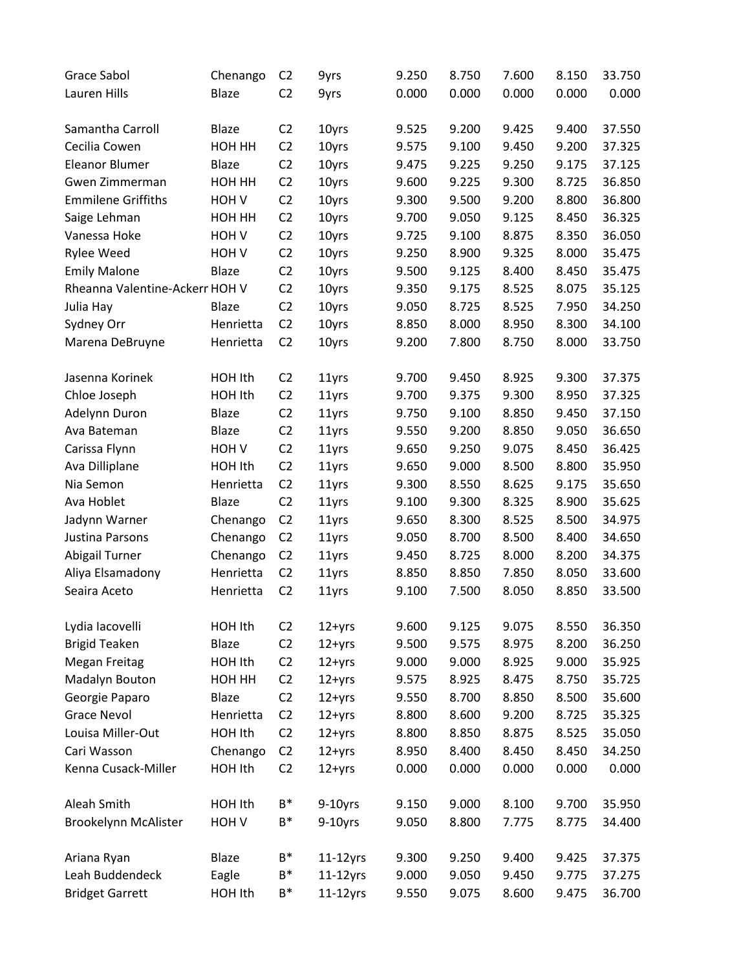| Grace Sabol                    | Chenango         | C <sub>2</sub> | 9yrs        | 9.250 | 8.750 | 7.600 | 8.150 | 33.750 |
|--------------------------------|------------------|----------------|-------------|-------|-------|-------|-------|--------|
| Lauren Hills                   | Blaze            | C <sub>2</sub> | 9yrs        | 0.000 | 0.000 | 0.000 | 0.000 | 0.000  |
|                                |                  |                |             |       |       |       |       |        |
| Samantha Carroll               | <b>Blaze</b>     | C <sub>2</sub> | 10yrs       | 9.525 | 9.200 | 9.425 | 9.400 | 37.550 |
| Cecilia Cowen                  | HOH HH           | C <sub>2</sub> | 10yrs       | 9.575 | 9.100 | 9.450 | 9.200 | 37.325 |
| <b>Eleanor Blumer</b>          | Blaze            | C <sub>2</sub> | 10yrs       | 9.475 | 9.225 | 9.250 | 9.175 | 37.125 |
| Gwen Zimmerman                 | HOH HH           | C <sub>2</sub> | 10yrs       | 9.600 | 9.225 | 9.300 | 8.725 | 36.850 |
| <b>Emmilene Griffiths</b>      | HOH <sub>V</sub> | C <sub>2</sub> | 10yrs       | 9.300 | 9.500 | 9.200 | 8.800 | 36.800 |
| Saige Lehman                   | HOH HH           | C <sub>2</sub> | 10yrs       | 9.700 | 9.050 | 9.125 | 8.450 | 36.325 |
| Vanessa Hoke                   | HOH <sub>V</sub> | C <sub>2</sub> | 10yrs       | 9.725 | 9.100 | 8.875 | 8.350 | 36.050 |
| Rylee Weed                     | HOH <sub>V</sub> | C <sub>2</sub> | 10yrs       | 9.250 | 8.900 | 9.325 | 8.000 | 35.475 |
| <b>Emily Malone</b>            | Blaze            | C2             | 10yrs       | 9.500 | 9.125 | 8.400 | 8.450 | 35.475 |
| Rheanna Valentine-Ackerr HOH V |                  | C <sub>2</sub> | 10yrs       | 9.350 | 9.175 | 8.525 | 8.075 | 35.125 |
| Julia Hay                      | <b>Blaze</b>     | C <sub>2</sub> | 10yrs       | 9.050 | 8.725 | 8.525 | 7.950 | 34.250 |
| Sydney Orr                     | Henrietta        | C <sub>2</sub> | 10yrs       | 8.850 | 8.000 | 8.950 | 8.300 | 34.100 |
| Marena DeBruyne                | Henrietta        | C <sub>2</sub> | 10yrs       | 9.200 | 7.800 | 8.750 | 8.000 | 33.750 |
|                                |                  |                |             |       |       |       |       |        |
| Jasenna Korinek                | HOH Ith          | C <sub>2</sub> | 11yrs       | 9.700 | 9.450 | 8.925 | 9.300 | 37.375 |
| Chloe Joseph                   | HOH Ith          | C <sub>2</sub> | 11yrs       | 9.700 | 9.375 | 9.300 | 8.950 | 37.325 |
| Adelynn Duron                  | <b>Blaze</b>     | C <sub>2</sub> | 11yrs       | 9.750 | 9.100 | 8.850 | 9.450 | 37.150 |
| Ava Bateman                    | <b>Blaze</b>     | C <sub>2</sub> | 11yrs       | 9.550 | 9.200 | 8.850 | 9.050 | 36.650 |
| Carissa Flynn                  | HOH V            | C <sub>2</sub> | 11yrs       | 9.650 | 9.250 | 9.075 | 8.450 | 36.425 |
| Ava Dilliplane                 | HOH Ith          | C <sub>2</sub> | 11yrs       | 9.650 | 9.000 | 8.500 | 8.800 | 35.950 |
| Nia Semon                      | Henrietta        | C <sub>2</sub> | 11yrs       | 9.300 | 8.550 | 8.625 | 9.175 | 35.650 |
| Ava Hoblet                     | Blaze            | C <sub>2</sub> | 11yrs       | 9.100 | 9.300 | 8.325 | 8.900 | 35.625 |
| Jadynn Warner                  | Chenango         | C <sub>2</sub> | 11yrs       | 9.650 | 8.300 | 8.525 | 8.500 | 34.975 |
| Justina Parsons                | Chenango         | C <sub>2</sub> | 11yrs       | 9.050 | 8.700 | 8.500 | 8.400 | 34.650 |
| <b>Abigail Turner</b>          | Chenango         | C <sub>2</sub> | 11yrs       | 9.450 | 8.725 | 8.000 | 8.200 | 34.375 |
| Aliya Elsamadony               | Henrietta        | C <sub>2</sub> | 11yrs       | 8.850 | 8.850 | 7.850 | 8.050 | 33.600 |
| Seaira Aceto                   | Henrietta        | C <sub>2</sub> | 11yrs       | 9.100 | 7.500 | 8.050 | 8.850 | 33.500 |
|                                |                  |                |             |       |       |       |       |        |
| Lydia Iacovelli                | HOH Ith          | C <sub>2</sub> | 12+yrs      | 9.600 | 9.125 | 9.075 | 8.550 | 36.350 |
| <b>Brigid Teaken</b>           | Blaze            | C <sub>2</sub> | $12 + yrs$  | 9.500 | 9.575 | 8.975 | 8.200 | 36.250 |
| <b>Megan Freitag</b>           | HOH Ith          | C <sub>2</sub> | $12 + yrs$  | 9.000 | 9.000 | 8.925 | 9.000 | 35.925 |
| Madalyn Bouton                 | HOH HH           | C <sub>2</sub> | $12 + yrs$  | 9.575 | 8.925 | 8.475 | 8.750 | 35.725 |
| Georgie Paparo                 | Blaze            | C <sub>2</sub> | $12 + yrs$  | 9.550 | 8.700 | 8.850 | 8.500 | 35.600 |
| <b>Grace Nevol</b>             | Henrietta        | C <sub>2</sub> | $12 + yrs$  | 8.800 | 8.600 | 9.200 | 8.725 | 35.325 |
| Louisa Miller-Out              | HOH Ith          | C <sub>2</sub> | $12 + yrs$  | 8.800 | 8.850 | 8.875 | 8.525 | 35.050 |
| Cari Wasson                    | Chenango         | C <sub>2</sub> | $12 + yrs$  | 8.950 | 8.400 | 8.450 | 8.450 | 34.250 |
| Kenna Cusack-Miller            | HOH Ith          | C <sub>2</sub> | $12 + yrs$  | 0.000 | 0.000 | 0.000 | 0.000 | 0.000  |
|                                |                  |                |             |       |       |       |       |        |
| Aleah Smith                    | HOH Ith          | $B^*$          | $9-10$ yrs  | 9.150 | 9.000 | 8.100 | 9.700 | 35.950 |
| Brookelynn McAlister           | HOH <sub>V</sub> | $B^*$          | $9-10$ yrs  | 9.050 | 8.800 | 7.775 | 8.775 | 34.400 |
|                                |                  |                |             |       |       |       |       |        |
| Ariana Ryan                    | Blaze            | B*             | $11-12$ yrs | 9.300 | 9.250 | 9.400 | 9.425 | 37.375 |
| Leah Buddendeck                | Eagle            | B*             | $11-12$ yrs | 9.000 | 9.050 | 9.450 | 9.775 | 37.275 |
| <b>Bridget Garrett</b>         | HOH Ith          | $B^*$          | $11-12$ yrs | 9.550 | 9.075 | 8.600 | 9.475 | 36.700 |
|                                |                  |                |             |       |       |       |       |        |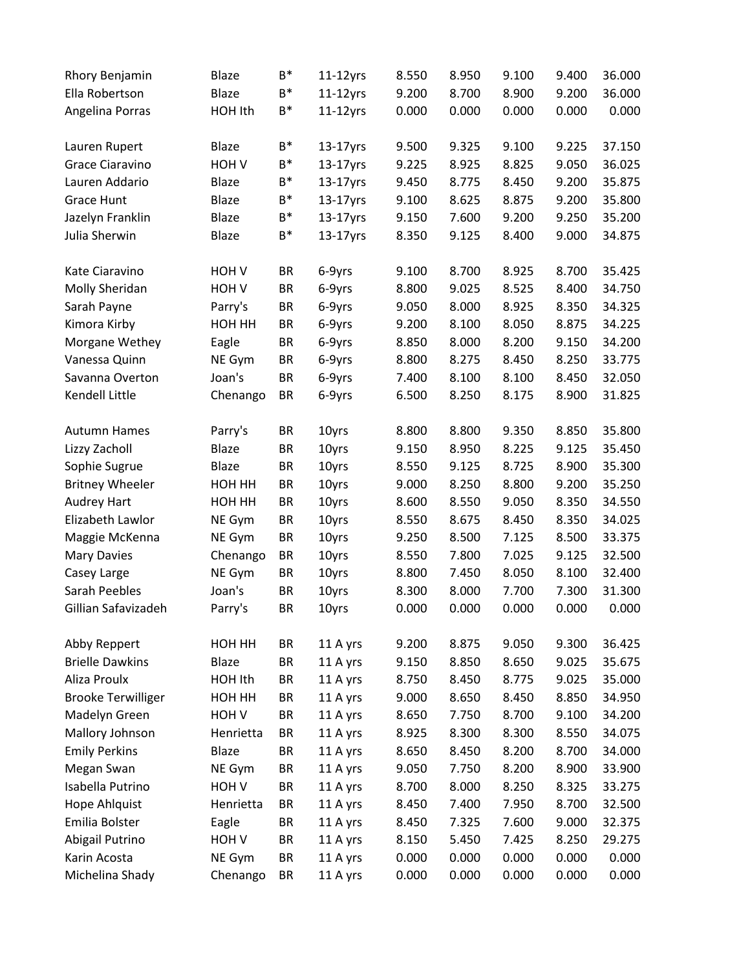| Rhory Benjamin            | <b>Blaze</b>     | B*        | $11-12$ yrs | 8.550 | 8.950 | 9.100 | 9.400 | 36.000 |
|---------------------------|------------------|-----------|-------------|-------|-------|-------|-------|--------|
| Ella Robertson            | Blaze            | B*        | $11-12$ yrs | 9.200 | 8.700 | 8.900 | 9.200 | 36.000 |
| Angelina Porras           | HOH Ith          | B*        | $11-12$ yrs | 0.000 | 0.000 | 0.000 | 0.000 | 0.000  |
|                           |                  |           |             |       |       |       |       |        |
| Lauren Rupert             | <b>Blaze</b>     | B*        | $13-17$ yrs | 9.500 | 9.325 | 9.100 | 9.225 | 37.150 |
| Grace Ciaravino           | HOH V            | B*        | $13-17$ yrs | 9.225 | 8.925 | 8.825 | 9.050 | 36.025 |
| Lauren Addario            | Blaze            | B*        | 13-17yrs    | 9.450 | 8.775 | 8.450 | 9.200 | 35.875 |
| <b>Grace Hunt</b>         | Blaze            | B*        | $13-17$ yrs | 9.100 | 8.625 | 8.875 | 9.200 | 35.800 |
| Jazelyn Franklin          | Blaze            | B*        | $13-17$ yrs | 9.150 | 7.600 | 9.200 | 9.250 | 35.200 |
| Julia Sherwin             | Blaze            | B*        | $13-17$ yrs | 8.350 | 9.125 | 8.400 | 9.000 | 34.875 |
| Kate Ciaravino            | HOH V            | BR        | 6-9yrs      | 9.100 | 8.700 | 8.925 | 8.700 | 35.425 |
| Molly Sheridan            | HOH <sub>V</sub> | BR        | 6-9yrs      | 8.800 | 9.025 | 8.525 | 8.400 | 34.750 |
| Sarah Payne               | Parry's          | <b>BR</b> | 6-9yrs      | 9.050 | 8.000 | 8.925 | 8.350 | 34.325 |
| Kimora Kirby              | HOH HH           | <b>BR</b> | 6-9yrs      | 9.200 | 8.100 | 8.050 | 8.875 | 34.225 |
| Morgane Wethey            | Eagle            | BR        | 6-9yrs      | 8.850 | 8.000 | 8.200 | 9.150 | 34.200 |
| Vanessa Quinn             | NE Gym           | <b>BR</b> | 6-9yrs      | 8.800 | 8.275 | 8.450 | 8.250 | 33.775 |
| Savanna Overton           | Joan's           | <b>BR</b> | 6-9yrs      | 7.400 | 8.100 | 8.100 | 8.450 | 32.050 |
| Kendell Little            | Chenango         | <b>BR</b> | 6-9yrs      | 6.500 | 8.250 | 8.175 | 8.900 | 31.825 |
|                           |                  |           |             |       |       |       |       |        |
| <b>Autumn Hames</b>       | Parry's          | <b>BR</b> | 10yrs       | 8.800 | 8.800 | 9.350 | 8.850 | 35.800 |
| Lizzy Zacholl             | Blaze            | <b>BR</b> | 10yrs       | 9.150 | 8.950 | 8.225 | 9.125 | 35.450 |
| Sophie Sugrue             | Blaze            | BR        | 10yrs       | 8.550 | 9.125 | 8.725 | 8.900 | 35.300 |
| <b>Britney Wheeler</b>    | HOH HH           | BR        | 10yrs       | 9.000 | 8.250 | 8.800 | 9.200 | 35.250 |
| <b>Audrey Hart</b>        | HOH HH           | <b>BR</b> | 10yrs       | 8.600 | 8.550 | 9.050 | 8.350 | 34.550 |
| Elizabeth Lawlor          | NE Gym           | <b>BR</b> | 10yrs       | 8.550 | 8.675 | 8.450 | 8.350 | 34.025 |
| Maggie McKenna            | NE Gym           | <b>BR</b> | 10yrs       | 9.250 | 8.500 | 7.125 | 8.500 | 33.375 |
| <b>Mary Davies</b>        | Chenango         | <b>BR</b> | 10yrs       | 8.550 | 7.800 | 7.025 | 9.125 | 32.500 |
| Casey Large               | NE Gym           | <b>BR</b> | 10yrs       | 8.800 | 7.450 | 8.050 | 8.100 | 32.400 |
| Sarah Peebles             | Joan's           | ΒR        | 10yrs       | 8.300 | 8.000 | 7.700 | 7.300 | 31.300 |
| Gillian Safavizadeh       | Parry's          | <b>BR</b> | 10yrs       | 0.000 | 0.000 | 0.000 | 0.000 | 0.000  |
| Abby Reppert              | HOH HH           | <b>BR</b> | 11 A yrs    | 9.200 | 8.875 | 9.050 | 9.300 | 36.425 |
| <b>Brielle Dawkins</b>    | Blaze            | <b>BR</b> | 11 A yrs    | 9.150 | 8.850 | 8.650 | 9.025 | 35.675 |
| Aliza Proulx              | HOH Ith          | <b>BR</b> | 11 A yrs    | 8.750 | 8.450 | 8.775 | 9.025 | 35.000 |
| <b>Brooke Terwilliger</b> | HOH HH           | <b>BR</b> | 11 A yrs    | 9.000 | 8.650 | 8.450 | 8.850 | 34.950 |
| Madelyn Green             | HOH V            | <b>BR</b> | 11 A yrs    | 8.650 | 7.750 | 8.700 | 9.100 | 34.200 |
| Mallory Johnson           | Henrietta        | <b>BR</b> | 11 A yrs    | 8.925 | 8.300 | 8.300 | 8.550 | 34.075 |
| <b>Emily Perkins</b>      | Blaze            | <b>BR</b> | 11 A yrs    | 8.650 | 8.450 | 8.200 | 8.700 | 34.000 |
| Megan Swan                | NE Gym           | <b>BR</b> | 11 A yrs    | 9.050 | 7.750 | 8.200 | 8.900 | 33.900 |
| Isabella Putrino          | HOH <sub>V</sub> | <b>BR</b> | 11 A yrs    | 8.700 | 8.000 | 8.250 | 8.325 | 33.275 |
| Hope Ahlquist             | Henrietta        | <b>BR</b> | 11 A yrs    | 8.450 | 7.400 | 7.950 | 8.700 | 32.500 |
| Emilia Bolster            | Eagle            | <b>BR</b> | 11 A yrs    | 8.450 | 7.325 | 7.600 | 9.000 | 32.375 |
| Abigail Putrino           | HOH <sub>V</sub> | <b>BR</b> | 11 A yrs    | 8.150 | 5.450 | 7.425 | 8.250 | 29.275 |
| Karin Acosta              | NE Gym           | <b>BR</b> | 11 A yrs    | 0.000 | 0.000 | 0.000 | 0.000 | 0.000  |
|                           |                  |           |             |       | 0.000 |       | 0.000 | 0.000  |
| Michelina Shady           | Chenango         | BR        | 11 A yrs    | 0.000 |       | 0.000 |       |        |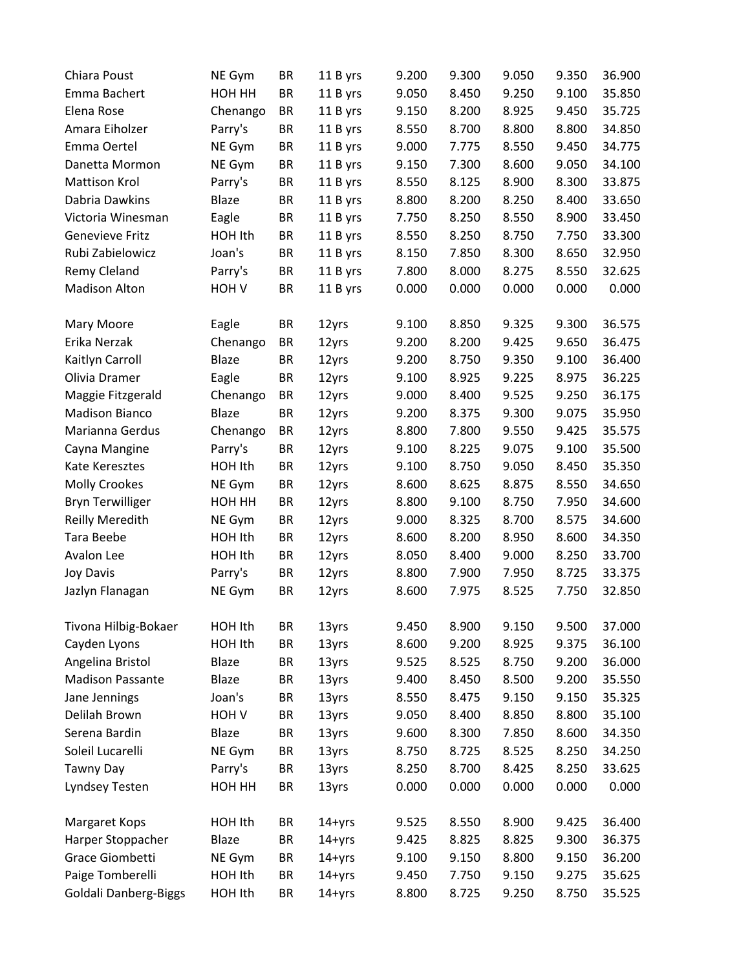| Chiara Poust                 | NE Gym           | <b>BR</b> | 11 B yrs   | 9.200 | 9.300 | 9.050 | 9.350 | 36.900 |
|------------------------------|------------------|-----------|------------|-------|-------|-------|-------|--------|
| Emma Bachert                 | HOH HH           | <b>BR</b> | 11 B yrs   | 9.050 | 8.450 | 9.250 | 9.100 | 35.850 |
| Elena Rose                   | Chenango         | <b>BR</b> | 11 B yrs   | 9.150 | 8.200 | 8.925 | 9.450 | 35.725 |
| Amara Eiholzer               | Parry's          | <b>BR</b> | 11 B yrs   | 8.550 | 8.700 | 8.800 | 8.800 | 34.850 |
| Emma Oertel                  | NE Gym           | <b>BR</b> | 11 B yrs   | 9.000 | 7.775 | 8.550 | 9.450 | 34.775 |
| Danetta Mormon               | NE Gym           | <b>BR</b> | 11 B yrs   | 9.150 | 7.300 | 8.600 | 9.050 | 34.100 |
| Mattison Krol                | Parry's          | <b>BR</b> | 11 B yrs   | 8.550 | 8.125 | 8.900 | 8.300 | 33.875 |
| Dabria Dawkins               | Blaze            | <b>BR</b> | 11 B yrs   | 8.800 | 8.200 | 8.250 | 8.400 | 33.650 |
| Victoria Winesman            | Eagle            | <b>BR</b> | 11 B yrs   | 7.750 | 8.250 | 8.550 | 8.900 | 33.450 |
| <b>Genevieve Fritz</b>       | HOH Ith          | <b>BR</b> | 11 B yrs   | 8.550 | 8.250 | 8.750 | 7.750 | 33.300 |
| Rubi Zabielowicz             | Joan's           | <b>BR</b> | 11 B yrs   | 8.150 | 7.850 | 8.300 | 8.650 | 32.950 |
| Remy Cleland                 | Parry's          | <b>BR</b> | 11 B yrs   | 7.800 | 8.000 | 8.275 | 8.550 | 32.625 |
| <b>Madison Alton</b>         | HOH <sub>V</sub> | <b>BR</b> | 11 B yrs   | 0.000 | 0.000 | 0.000 | 0.000 | 0.000  |
| Mary Moore                   | Eagle            | <b>BR</b> | 12yrs      | 9.100 | 8.850 | 9.325 | 9.300 | 36.575 |
| Erika Nerzak                 | Chenango         | <b>BR</b> | 12yrs      | 9.200 | 8.200 | 9.425 | 9.650 | 36.475 |
| Kaitlyn Carroll              | Blaze            | <b>BR</b> | 12yrs      | 9.200 | 8.750 | 9.350 | 9.100 | 36.400 |
| Olivia Dramer                | Eagle            | <b>BR</b> | 12yrs      | 9.100 | 8.925 | 9.225 | 8.975 | 36.225 |
| Maggie Fitzgerald            | Chenango         | <b>BR</b> | 12yrs      | 9.000 | 8.400 | 9.525 | 9.250 | 36.175 |
| <b>Madison Bianco</b>        | <b>Blaze</b>     | <b>BR</b> | 12yrs      | 9.200 | 8.375 | 9.300 | 9.075 | 35.950 |
| Marianna Gerdus              | Chenango         | <b>BR</b> | 12yrs      | 8.800 | 7.800 | 9.550 | 9.425 | 35.575 |
| Cayna Mangine                | Parry's          | <b>BR</b> | 12yrs      | 9.100 | 8.225 | 9.075 | 9.100 | 35.500 |
| Kate Keresztes               | HOH Ith          | <b>BR</b> | 12yrs      | 9.100 | 8.750 | 9.050 | 8.450 | 35.350 |
| <b>Molly Crookes</b>         | NE Gym           | BR        | 12yrs      | 8.600 | 8.625 | 8.875 | 8.550 | 34.650 |
| <b>Bryn Terwilliger</b>      | HOH HH           | <b>BR</b> | 12yrs      | 8.800 | 9.100 | 8.750 | 7.950 | 34.600 |
| <b>Reilly Meredith</b>       | NE Gym           | <b>BR</b> | 12yrs      | 9.000 | 8.325 | 8.700 | 8.575 | 34.600 |
| Tara Beebe                   | HOH Ith          | <b>BR</b> | 12yrs      | 8.600 | 8.200 | 8.950 | 8.600 | 34.350 |
| Avalon Lee                   | HOH Ith          | <b>BR</b> | 12yrs      | 8.050 | 8.400 | 9.000 | 8.250 | 33.700 |
| <b>Joy Davis</b>             | Parry's          | <b>BR</b> | 12yrs      | 8.800 | 7.900 | 7.950 | 8.725 | 33.375 |
| Jazlyn Flanagan              | NE Gym           | <b>BR</b> | 12yrs      | 8.600 | 7.975 | 8.525 | 7.750 | 32.850 |
| Tivona Hilbig-Bokaer         | HOH Ith          | <b>BR</b> | 13yrs      | 9.450 | 8.900 | 9.150 | 9.500 | 37.000 |
| Cayden Lyons                 | HOH Ith          | <b>BR</b> | 13yrs      | 8.600 | 9.200 | 8.925 | 9.375 | 36.100 |
| Angelina Bristol             | Blaze            | <b>BR</b> | 13yrs      | 9.525 | 8.525 | 8.750 | 9.200 | 36.000 |
| <b>Madison Passante</b>      | Blaze            | <b>BR</b> | 13yrs      | 9.400 | 8.450 | 8.500 | 9.200 | 35.550 |
| Jane Jennings                | Joan's           | BR        | 13yrs      | 8.550 | 8.475 | 9.150 | 9.150 | 35.325 |
| Delilah Brown                | HOH <sub>V</sub> | <b>BR</b> | 13yrs      | 9.050 | 8.400 | 8.850 | 8.800 | 35.100 |
| Serena Bardin                | Blaze            | <b>BR</b> | 13yrs      | 9.600 | 8.300 | 7.850 | 8.600 | 34.350 |
| Soleil Lucarelli             | NE Gym           | BR        | 13yrs      | 8.750 | 8.725 | 8.525 | 8.250 | 34.250 |
| <b>Tawny Day</b>             | Parry's          | <b>BR</b> | 13yrs      | 8.250 | 8.700 | 8.425 | 8.250 | 33.625 |
| Lyndsey Testen               | HOH HH           | <b>BR</b> | 13yrs      | 0.000 | 0.000 | 0.000 | 0.000 | 0.000  |
| Margaret Kops                | HOH Ith          | BR        | $14 + yrs$ | 9.525 | 8.550 | 8.900 | 9.425 | 36.400 |
| Harper Stoppacher            | Blaze            | <b>BR</b> | $14 + yrs$ | 9.425 | 8.825 | 8.825 | 9.300 | 36.375 |
| Grace Giombetti              | NE Gym           | <b>BR</b> | 14+yrs     | 9.100 | 9.150 | 8.800 | 9.150 | 36.200 |
| Paige Tomberelli             | HOH Ith          | <b>BR</b> | $14 + yrs$ | 9.450 | 7.750 | 9.150 | 9.275 | 35.625 |
| <b>Goldali Danberg-Biggs</b> | HOH Ith          | <b>BR</b> | $14 + yrs$ | 8.800 | 8.725 | 9.250 | 8.750 | 35.525 |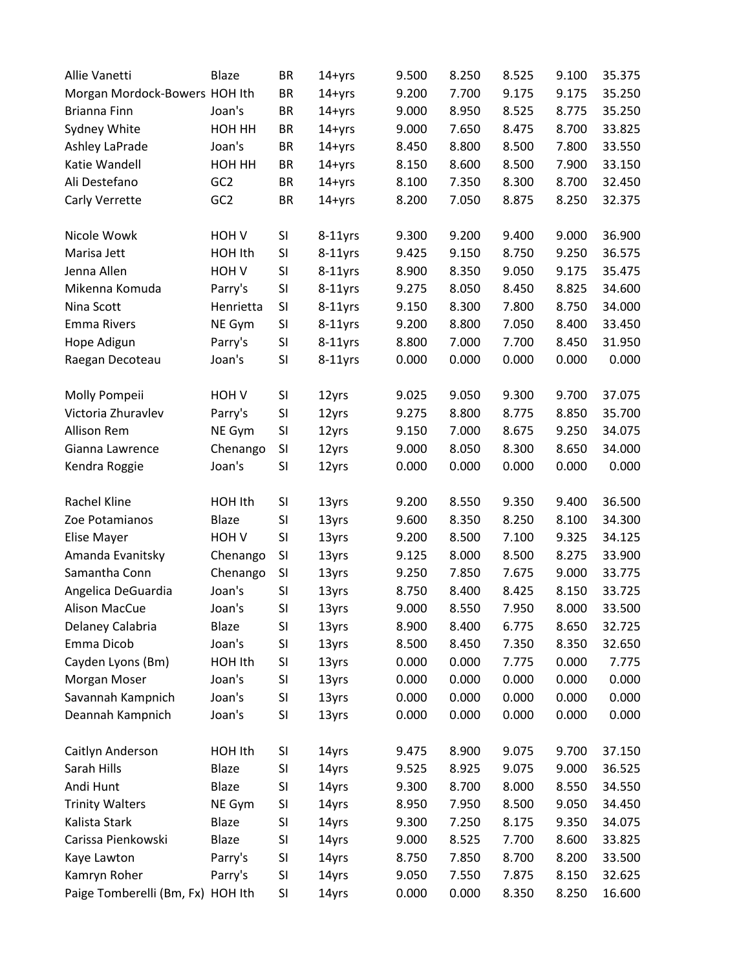| Allie Vanetti                     | Blaze            | BR        | $14 + yrs$ | 9.500 | 8.250 | 8.525 | 9.100 | 35.375 |
|-----------------------------------|------------------|-----------|------------|-------|-------|-------|-------|--------|
| Morgan Mordock-Bowers HOH Ith     |                  | BR        | $14 + yrs$ | 9.200 | 7.700 | 9.175 | 9.175 | 35.250 |
| Brianna Finn                      | Joan's           | BR        | $14 + yrs$ | 9.000 | 8.950 | 8.525 | 8.775 | 35.250 |
| Sydney White                      | HOH HH           | BR        | $14 + yrs$ | 9.000 | 7.650 | 8.475 | 8.700 | 33.825 |
| Ashley LaPrade                    | Joan's           | BR        | $14 + yrs$ | 8.450 | 8.800 | 8.500 | 7.800 | 33.550 |
| Katie Wandell                     | HOH HH           | BR        | $14 + yrs$ | 8.150 | 8.600 | 8.500 | 7.900 | 33.150 |
| Ali Destefano                     | GC <sub>2</sub>  | <b>BR</b> | $14 + yrs$ | 8.100 | 7.350 | 8.300 | 8.700 | 32.450 |
| Carly Verrette                    | GC <sub>2</sub>  | BR        | $14 + yrs$ | 8.200 | 7.050 | 8.875 | 8.250 | 32.375 |
| Nicole Wowk                       | HOH V            | SI        | $8-11$ yrs | 9.300 | 9.200 | 9.400 | 9.000 | 36.900 |
| Marisa Jett                       | HOH Ith          | SI        | $8-11$ yrs | 9.425 | 9.150 | 8.750 | 9.250 | 36.575 |
| Jenna Allen                       | HOH <sub>V</sub> | SI        | $8-11$ yrs | 8.900 | 8.350 | 9.050 | 9.175 | 35.475 |
| Mikenna Komuda                    | Parry's          | SI        | $8-11$ yrs | 9.275 | 8.050 | 8.450 | 8.825 | 34.600 |
| Nina Scott                        | Henrietta        | SI        | $8-11$ yrs | 9.150 | 8.300 | 7.800 | 8.750 | 34.000 |
| <b>Emma Rivers</b>                | NE Gym           | SI        | $8-11$ yrs | 9.200 | 8.800 | 7.050 | 8.400 | 33.450 |
| Hope Adigun                       | Parry's          | SI        | $8-11$ yrs | 8.800 | 7.000 | 7.700 | 8.450 | 31.950 |
| Raegan Decoteau                   | Joan's           | SI        | $8-11$ yrs | 0.000 | 0.000 | 0.000 | 0.000 | 0.000  |
| Molly Pompeii                     | HOH <sub>V</sub> | SI        | 12yrs      | 9.025 | 9.050 | 9.300 | 9.700 | 37.075 |
| Victoria Zhuravlev                | Parry's          | SI        | 12yrs      | 9.275 | 8.800 | 8.775 | 8.850 | 35.700 |
| Allison Rem                       | NE Gym           | SI        | 12yrs      | 9.150 | 7.000 | 8.675 | 9.250 | 34.075 |
| Gianna Lawrence                   | Chenango         | SI        | 12yrs      | 9.000 | 8.050 | 8.300 | 8.650 | 34.000 |
| Kendra Roggie                     | Joan's           | SI        | 12yrs      | 0.000 | 0.000 | 0.000 | 0.000 | 0.000  |
| Rachel Kline                      | HOH Ith          | SI        | 13yrs      | 9.200 | 8.550 | 9.350 | 9.400 | 36.500 |
| Zoe Potamianos                    | Blaze            | SI        | 13yrs      | 9.600 | 8.350 | 8.250 | 8.100 | 34.300 |
| Elise Mayer                       | HOH <sub>V</sub> | SI        | 13yrs      | 9.200 | 8.500 | 7.100 | 9.325 | 34.125 |
| Amanda Evanitsky                  | Chenango         | SI        | 13yrs      | 9.125 | 8.000 | 8.500 | 8.275 | 33.900 |
| Samantha Conn                     | Chenango         | SI        | 13yrs      | 9.250 | 7.850 | 7.675 | 9.000 | 33.775 |
| Angelica DeGuardia                | Joan's           | SI        | 13yrs      | 8.750 | 8.400 | 8.425 | 8.150 | 33.725 |
| <b>Alison MacCue</b>              | Joan's           | SI        | 13yrs      | 9.000 | 8.550 | 7.950 | 8.000 | 33.500 |
| Delaney Calabria                  | Blaze            | SI        | 13yrs      | 8.900 | 8.400 | 6.775 | 8.650 | 32.725 |
| Emma Dicob                        | Joan's           | SI        | 13yrs      | 8.500 | 8.450 | 7.350 | 8.350 | 32.650 |
| Cayden Lyons (Bm)                 | HOH Ith          | SI        | 13yrs      | 0.000 | 0.000 | 7.775 | 0.000 | 7.775  |
| Morgan Moser                      | Joan's           | SI        | 13yrs      | 0.000 | 0.000 | 0.000 | 0.000 | 0.000  |
| Savannah Kampnich                 | Joan's           | SI        | 13yrs      | 0.000 | 0.000 | 0.000 | 0.000 | 0.000  |
| Deannah Kampnich                  | Joan's           | SI        | 13yrs      | 0.000 | 0.000 | 0.000 | 0.000 | 0.000  |
| Caitlyn Anderson                  | HOH Ith          | SI        | 14yrs      | 9.475 | 8.900 | 9.075 | 9.700 | 37.150 |
| Sarah Hills                       | Blaze            | SI        | 14yrs      | 9.525 | 8.925 | 9.075 | 9.000 | 36.525 |
| Andi Hunt                         | Blaze            | SI        | 14yrs      | 9.300 | 8.700 | 8.000 | 8.550 | 34.550 |
| <b>Trinity Walters</b>            | NE Gym           | SI        | 14yrs      | 8.950 | 7.950 | 8.500 | 9.050 | 34.450 |
| Kalista Stark                     | Blaze            | SI        | 14yrs      | 9.300 | 7.250 | 8.175 | 9.350 | 34.075 |
| Carissa Pienkowski                | Blaze            | SI        | 14yrs      | 9.000 | 8.525 | 7.700 | 8.600 | 33.825 |
| Kaye Lawton                       | Parry's          | SI        | 14yrs      | 8.750 | 7.850 | 8.700 | 8.200 | 33.500 |
| Kamryn Roher                      | Parry's          | SI        | 14yrs      | 9.050 | 7.550 | 7.875 | 8.150 | 32.625 |
| Paige Tomberelli (Bm, Fx) HOH Ith |                  | SI        | 14yrs      | 0.000 | 0.000 | 8.350 | 8.250 | 16.600 |